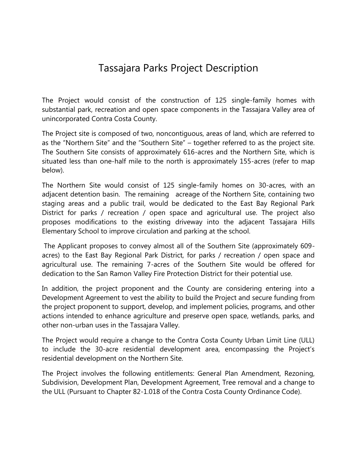## Tassajara Parks Project Description

The Project would consist of the construction of 125 single-family homes with substantial park, recreation and open space components in the Tassajara Valley area of unincorporated Contra Costa County.

The Project site is composed of two, noncontiguous, areas of land, which are referred to as the "Northern Site" and the "Southern Site" – together referred to as the project site. The Southern Site consists of approximately 616-acres and the Northern Site, which is situated less than one-half mile to the north is approximately 155-acres (refer to map below).

The Northern Site would consist of 125 single-family homes on 30-acres, with an adjacent detention basin. The remaining acreage of the Northern Site, containing two staging areas and a public trail, would be dedicated to the East Bay Regional Park District for parks / recreation / open space and agricultural use. The project also proposes modifications to the existing driveway into the adjacent Tassajara Hills Elementary School to improve circulation and parking at the school.

The Applicant proposes to convey almost all of the Southern Site (approximately 609 acres) to the East Bay Regional Park District, for parks / recreation / open space and agricultural use. The remaining 7-acres of the Southern Site would be offered for dedication to the San Ramon Valley Fire Protection District for their potential use.

In addition, the project proponent and the County are considering entering into a Development Agreement to vest the ability to build the Project and secure funding from the project proponent to support, develop, and implement policies, programs, and other actions intended to enhance agriculture and preserve open space, wetlands, parks, and other non-urban uses in the Tassajara Valley.

The Project would require a change to the Contra Costa County Urban Limit Line (ULL) to include the 30-acre residential development area, encompassing the Project's residential development on the Northern Site.

The Project involves the following entitlements: General Plan Amendment, Rezoning, Subdivision, Development Plan, Development Agreement, Tree removal and a change to the ULL (Pursuant to Chapter 82-1.018 of the Contra Costa County Ordinance Code).